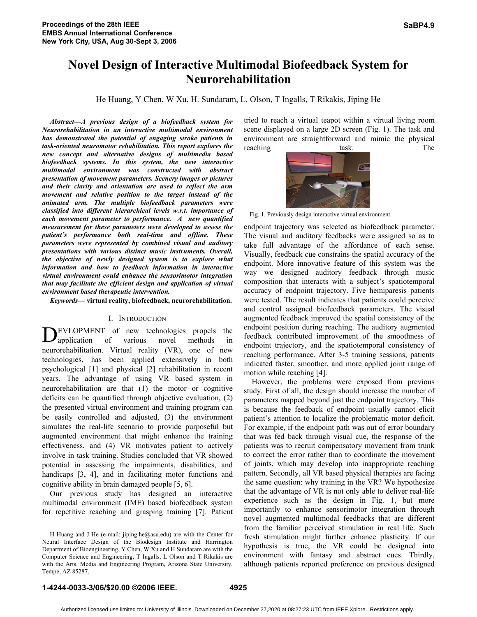# **Novel Design of Interactive Multimodal Biofeedback System for Neurorehabilitation**

He Huang, Y Chen, W Xu, H. Sundaram, L. Olson, T Ingalls, T Rikakis, Jiping He

*Abstract***—***A previous design of a biofeedback system for Neurorehabilitation in an interactive multimodal environment has demonstrated the potential of engaging stroke patients in task-oriented neuromotor rehabilitation. This report explores the new concept and alternative designs of multimedia based biofeedback systems. In this system, the new interactive multimodal environment was constructed with abstract presentation of movement parameters. Scenery images or pictures and their clarity and orientation are used to reflect the arm movement and relative position to the target instead of the animated arm. The multiple biofeedback parameters were classified into different hierarchical levels w.r.t. importance of each movement parameter to performance. A new quantified measurement for these parameters were developed to assess the patient's performance both real-time and offline. These parameters were represented by combined visual and auditory presentations with various distinct music instruments. Overall, the objective of newly designed system is to explore what information and how to feedback information in interactive virtual environment could enhance the sensorimotor integration that may facilitate the efficient design and application of virtual environment based therapeutic intervention.*

*Keywords***— virtual reality, biofeedback, neurorehabilitation.**

## I. INTRODUCTION

EVLOPMENT of new technologies propels the DEVLOPMENT of new technologies propels the application of various novel methods in neurorehabilitation. Virtual reality (VR), one of new technologies, has been applied extensively in both psychological [1] and physical [2] rehabilitation in recent years. The advantage of using VR based system in neurorehabilitation are that (1) the motor or cognitive deficits can be quantified through objective evaluation, (2) the presented virtual environment and training program can be easily controlled and adjusted, (3) the environment simulates the real-life scenario to provide purposeful but augmented environment that might enhance the training effectiveness, and (4) VR motivates patient to actively involve in task training. Studies concluded that VR showed potential in assessing the impairments, disabilities, and handicaps [3, 4], and in facilitating motor functions and cognitive ability in brain damaged people [5, 6].

Our previous study has designed an interactive multimodal environment (IME) based biofeedback system for repetitive reaching and grasping training [7]. Patient

tried to reach a virtual teapot within a virtual living room scene displayed on a large 2D screen (Fig. 1). The task and environment are straightforward and mimic the physical reaching task. The



Fig. 1. Previously design interactive virtual environment.

endpoint trajectory was selected as biofeedback parameter. The visual and auditory feedbacks were assigned so as to take full advantage of the affordance of each sense. Visually, feedback cue constrains the spatial accuracy of the endpoint. More innovative feature of this system was the way we designed auditory feedback through music composition that interacts with a subject's spatiotemporal accuracy of endpoint trajectory. Five hemiparesis patients were tested. The result indicates that patients could perceive and control assigned biofeedback parameters. The visual augmented feedback improved the spatial consistency of the endpoint position during reaching. The auditory augmented feedback contributed improvement of the smoothness of endpoint trajectory, and the spatiotemporal consistency of reaching performance. After 3-5 training sessions, patients indicated faster, smoother, and more applied joint range of motion while reaching [4].

However, the problems were exposed from previous study. First of all, the design should increase the number of parameters mapped beyond just the endpoint trajectory. This is because the feedback of endpoint usually cannot elicit patient's attention to localize the problematic motor deficit. For example, if the endpoint path was out of error boundary that was fed back through visual cue, the response of the patients was to recruit compensatory movement from trunk to correct the error rather than to coordinate the movement of joints, which may develop into inappropriate reaching pattern. Secondly, all VR based physical therapies are facing the same question: why training in the VR? We hypothesize that the advantage of VR is not only able to deliver real-life experience such as the design in Fig. 1, but more importantly to enhance sensorimotor integration through novel augmented multimodal feedbacks that are different from the familiar perceived stimulation in real life. Such fresh stimulation might further enhance plasticity. If our hypothesis is true, the VR could be designed into environment with fantasy and abstract cues. Thirdly, although patients reported preference on previous designed

H Huang and J He (e-mail: jiping.he@asu.edu) are with the Center for Neural Interface Design of the Biodesign Institute and Harrington Department of Bioengineering, Y Chen, W Xu and H Sundaram are with the Computer Science and Engineering, T Ingalls, L Olson and T Rikakis are with the Arts, Media and Engineering Program, Arizona State University, Tempe, AZ 85287.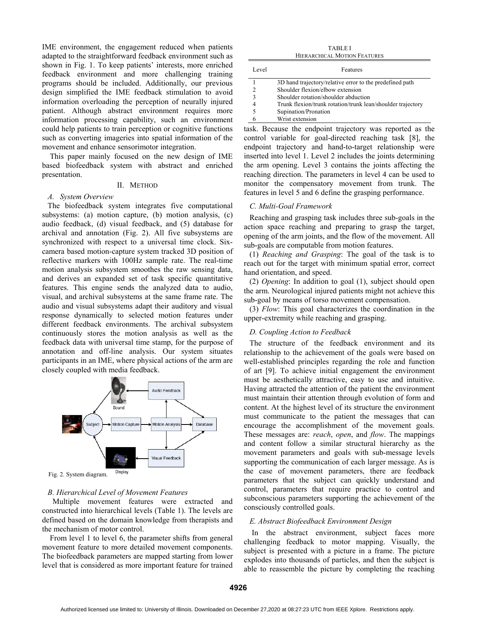IME environment, the engagement reduced when patients adapted to the straightforward feedback environment such as shown in Fig. 1. To keep patients' interests, more enriched feedback environment and more challenging training programs should be included. Additionally, our previous design simplified the IME feedback stimulation to avoid information overloading the perception of neurally injured patient. Although abstract environment requires more information processing capability, such an environment could help patients to train perception or cognitive functions such as converting imageries into spatial information of the movement and enhance sensorimotor integration.

This paper mainly focused on the new design of IME based biofeedback system with abstract and enriched presentation.

## II. METHOD

## *A. System Overview*

The biofeedback system integrates five computational subsystems: (a) motion capture, (b) motion analysis, (c) audio feedback, (d) visual feedback, and (5) database for archival and annotation (Fig. 2). All five subsystems are synchronized with respect to a universal time clock. Sixcamera based motion-capture system tracked 3D position of reflective markers with 100Hz sample rate. The real-time motion analysis subsystem smoothes the raw sensing data, and derives an expanded set of task specific quantitative features. This engine sends the analyzed data to audio, visual, and archival subsystems at the same frame rate. The audio and visual subsystems adapt their auditory and visual response dynamically to selected motion features under different feedback environments. The archival subsystem continuously stores the motion analysis as well as the feedback data with universal time stamp, for the purpose of annotation and off-line analysis. Our system situates participants in an IME, where physical actions of the arm are closely coupled with media feedback.



Fig. 2. System diagram.

#### *B. Hierarchical Level of Movement Features*

Multiple movement features were extracted and constructed into hierarchical levels (Table 1). The levels are defined based on the domain knowledge from therapists and the mechanism of motor control.

From level 1 to level 6, the parameter shifts from general movement feature to more detailed movement components. The biofeedback parameters are mapped starting from lower level that is considered as more important feature for trained

TABLE I HIERARCHICAL MOTION FEATURES

| Level | Features                                                    |  |  |  |
|-------|-------------------------------------------------------------|--|--|--|
|       | 3D hand trajectory/relative error to the predefined path    |  |  |  |
|       | Shoulder flexion/elbow extension                            |  |  |  |
| 3     | Shoulder rotation/shoulder abduction                        |  |  |  |
| 4     | Trunk flexion/trunk rotation/trunk lean/shoulder trajectory |  |  |  |
|       | Supination/Pronation                                        |  |  |  |
|       | Wrist extension                                             |  |  |  |

task. Because the endpoint trajectory was reported as the control variable for goal-directed reaching task [8], the endpoint trajectory and hand-to-target relationship were inserted into level 1. Level 2 includes the joints determining the arm opening. Level 3 contains the joints affecting the reaching direction. The parameters in level 4 can be used to monitor the compensatory movement from trunk. The features in level 5 and 6 define the grasping performance.

## *C. Multi-Goal Framework*

Reaching and grasping task includes three sub-goals in the action space reaching and preparing to grasp the target, opening of the arm joints, and the flow of the movement. All sub-goals are computable from motion features.

(1) *Reaching and Grasping*: The goal of the task is to reach out for the target with minimum spatial error, correct hand orientation, and speed.

(2) *Opening*: In addition to goal (1), subject should open the arm. Neurological injured patients might not achieve this sub-goal by means of torso movement compensation.

(3) *Flow*: This goal characterizes the coordination in the upper-extremity while reaching and grasping.

# *D. Coupling Action to Feedback*

The structure of the feedback environment and its relationship to the achievement of the goals were based on well-established principles regarding the role and function of art [9]. To achieve initial engagement the environment must be aesthetically attractive, easy to use and intuitive. Having attracted the attention of the patient the environment must maintain their attention through evolution of form and content. At the highest level of its structure the environment must communicate to the patient the messages that can encourage the accomplishment of the movement goals. These messages are: *reach*, *open*, and *flow*. The mappings and content follow a similar structural hierarchy as the movement parameters and goals with sub-message levels supporting the communication of each larger message. As is the case of movement parameters, there are feedback parameters that the subject can quickly understand and control, parameters that require practice to control and subconscious parameters supporting the achievement of the consciously controlled goals.

## *E. Abstract Biofeedback Environment Design*

In the abstract environment, subject faces more challenging feedback to motor mapping. Visually, the subject is presented with a picture in a frame. The picture explodes into thousands of particles, and then the subject is able to reassemble the picture by completing the reaching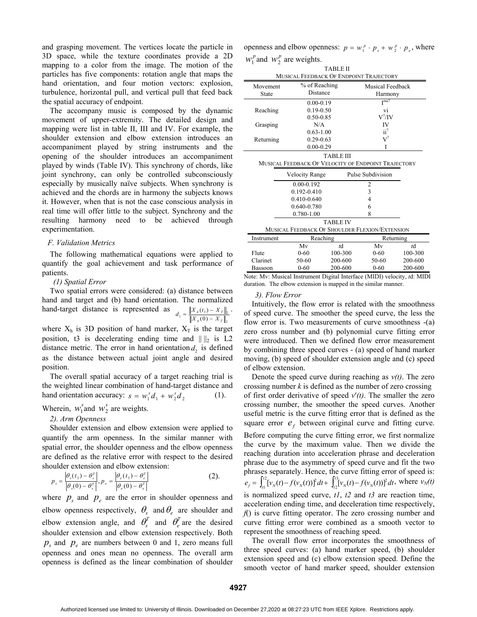and grasping movement. The vertices locate the particle in 3D space, while the texture coordinates provide a 2D mapping to a color from the image. The motion of the particles has five components: rotation angle that maps the hand orientation, and four motion vectors: explosion, turbulence, horizontal pull, and vertical pull that feed back the spatial accuracy of endpoint.

The accompany music is composed by the dynamic movement of upper-extremity. The detailed design and mapping were list in table II, III and IV. For example, the shoulder extension and elbow extension introduces an accompaniment played by string instruments and the opening of the shoulder introduces an accompaniment played by winds (Table IV). This synchrony of chords, like joint synchrony, can only be controlled subconsciously especially by musically naïve subjects. When synchrony is achieved and the chords are in harmony the subjects knows it. However, when that is not the case conscious analysis in real time will offer little to the subject. Synchrony and the resulting harmony need to be achieved through experimentation.

#### *F. Validation Metrics*

The following mathematical equations were applied to quantify the goal achievement and task performance of patients.

# *(1) Spatial Error*

Two spatial errors were considered: (a) distance between hand and target and (b) hand orientation. The normalized hand-target distance is represented as 2  $\frac{1}{\|X_h(0) - X_t\|_2} = \frac{\|X_h(t_3) - X_t\|_2}{\|X_h(0) - X_t\|_2}$  $(t_{\scriptscriptstyle 3})$  $h(v) = A_1$  $\frac{X_h(t_3) - X_T}{X_h(0) - X_T}$  $d_1 = \frac{\left\|X_h(t_3) - X_T\right\|_2}{\left\|X_h(0) - X_T\right\|_2}$ .

where  $X_h$  is 3D position of hand marker,  $X_T$  is the target position, t3 is decelerating ending time and  $\| \cdot \|_2$  is L2 distance metric. The error in hand orientation  $d_2$  is defined as the distance between actual joint angle and desired position.

The overall spatial accuracy of a target reaching trial is the weighted linear combination of hand-target distance and hand orientation accuracy:  $s = w_1^s d_1 + w_2^s d_2$  (1).

Wherein,  $w_1^s$  and  $w_2^s$  are weights.

## *2). Arm Openness*

Shoulder extension and elbow extension were applied to quantify the arm openness. In the similar manner with spatial error, the shoulder openness and the elbow openness are defined as the relative error with respect to the desired shoulder extension and elbow extension:

$$
p_s = \frac{\left|\theta_s(t_3) - \theta_s^T\right|}{\left|\theta_s(0) - \theta_s^T\right|}, p_e = \frac{\left|\theta_e(t_3) - \theta_e^T\right|}{\left|\theta_e(0) - \theta_e^T\right|}
$$
(2).

where  $p_s$  and  $p_e$  are the error in shoulder openness and elbow openness respectively,  $\theta_s$  and  $\theta_e$  are shoulder and elbow extension angle, and  $\theta_s^T$  and  $\theta_e^T$  are the desired shoulder extension and elbow extension respectively. Both  $p_s$  and  $p_e$  are numbers between 0 and 1, zero means full openness and ones mean no openness. The overall arm openness is defined as the linear combination of shoulder

openness and elbow openness:  $p = w_1^p \cdot p_s + w_2^p \cdot p_e$ , where  $w_1^p$  and  $w_2^p$  are weights.

| <b>TABLE II</b>                                     |                                                |                 |                      |         |  |  |
|-----------------------------------------------------|------------------------------------------------|-----------------|----------------------|---------|--|--|
| MUSICAL FEEDBACK OF ENDPOINT TRAJECTORY             |                                                |                 |                      |         |  |  |
| Movement                                            | % of Reaching                                  |                 | Musical Feedback     |         |  |  |
| State                                               | Distance                                       |                 | Harmony              |         |  |  |
|                                                     | $0.00 - 0.19$                                  |                 | $\overline{I^{ma7}}$ |         |  |  |
| Reaching                                            | $0.19 - 0.50$                                  |                 | vi                   |         |  |  |
|                                                     | $0.50 - 0.85$                                  |                 | $V^7$ /IV            |         |  |  |
| Grasping                                            | N/A                                            |                 | IV                   |         |  |  |
|                                                     | $0.63 - 1.00$                                  |                 | $ii^7$               |         |  |  |
| Returning                                           | $0.29 - 0.63$                                  |                 | $\rm V^7$            |         |  |  |
|                                                     | $0.00 - 0.29$                                  |                 | I                    |         |  |  |
| <b>TABLE III</b>                                    |                                                |                 |                      |         |  |  |
| MUSICAL FEEDBACK OF VELOCITY OF ENDPOINT TRAJECTORY |                                                |                 |                      |         |  |  |
|                                                     |                                                |                 | Pulse Subdivision    |         |  |  |
|                                                     | <b>Velocity Range</b>                          |                 |                      |         |  |  |
|                                                     | $0.00 - 0.192$                                 |                 | 2                    |         |  |  |
|                                                     | $0.192 - 0.410$                                |                 | 3                    |         |  |  |
|                                                     | 0.410-0.640                                    |                 | 4                    |         |  |  |
|                                                     | 0.640-0.780                                    |                 | 6                    |         |  |  |
|                                                     | 0.780-1.00                                     |                 | 8                    |         |  |  |
|                                                     |                                                | <b>TABLE IV</b> |                      |         |  |  |
|                                                     | MUSICAL FEEDBACK OF SHOULDER FLEXION/EXTENSION |                 |                      |         |  |  |
| Instrument                                          | Reaching                                       |                 | Returning            |         |  |  |
|                                                     | Mv                                             | td              | Mv                   | td      |  |  |
| Flute                                               | $0 - 60$                                       | 100-300         | $0 - 60$             | 100-300 |  |  |
| Clarinet                                            | 50-60                                          | 200-600         | 50-60                | 200-600 |  |  |

Note: Mv: Musical Instrument Digital Interface (MIDI) velocity, *t*d: MIDI duration. The elbow extension is mapped in the similar manner.

#### *3). Flow Error*

Intuitively, the flow error is related with the smoothness of speed curve. The smoother the speed curve, the less the flow error is. Two measurements of curve smoothness -(a) zero cross number and (b) polynomial curve fitting error were introduced. Then we defined flow error measurement by combining three speed curves - (a) speed of hand marker moving, (b) speed of shoulder extension angle and (c) speed of elbow extension.

Denote the speed curve during reaching as  $v(t)$ . The zero crossing number *k* is defined as the number of zero crossing of first order derivative of speed  $v'(t)$ . The smaller the zero crossing number, the smoother the speed curves. Another useful metric is the curve fitting error that is defined as the square error  $e_f$  between original curve and fitting curve. Before computing the curve fitting error, we first normalize the curve by the maximum value. Then we divide the reaching duration into acceleration phrase and deceleration phrase due to the asymmetry of speed curve and fit the two phrases separately. Hence, the curve fitting error of speed is:  $e_f = \int_{t_1}^{t_2} [v_N(t) - f(v_N(t))]^2 dt + \int_{t_2}^{t_3} [v_N(t) - f(v_N(t))]^2 dt$ , where  $v_N(t)$ is normalized speed curve, *t1*, *t2* and *t3* are reaction time, acceleration ending time, and deceleration time respectively, *f*() is curve fitting operator. The zero crossing number and curve fitting error were combined as a smooth vector to represent the smoothness of reaching speed.

The overall flow error incorporates the smoothness of three speed curves: (a) hand marker speed, (b) shoulder extension speed and (c) elbow extension speed. Define the smooth vector of hand marker speed, shoulder extension